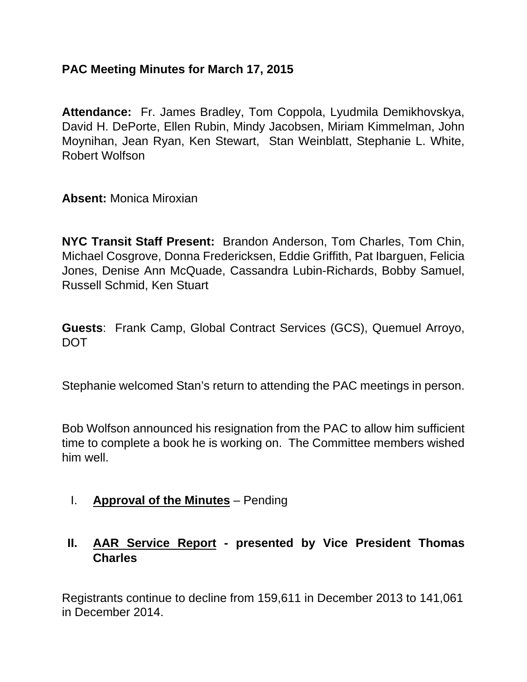### **PAC Meeting Minutes for March 17, 2015**

**Attendance:** Fr. James Bradley, Tom Coppola, Lyudmila Demikhovskya, David H. DePorte, Ellen Rubin, Mindy Jacobsen, Miriam Kimmelman, John Moynihan, Jean Ryan, Ken Stewart, Stan Weinblatt, Stephanie L. White, Robert Wolfson

**Absent:** Monica Miroxian

**NYC Transit Staff Present:** Brandon Anderson, Tom Charles, Tom Chin, Michael Cosgrove, Donna Fredericksen, Eddie Griffith, Pat Ibarguen, Felicia Jones, Denise Ann McQuade, Cassandra Lubin-Richards, Bobby Samuel, Russell Schmid, Ken Stuart

**Guests**: Frank Camp, Global Contract Services (GCS), Quemuel Arroyo, **DOT** 

Stephanie welcomed Stan's return to attending the PAC meetings in person.

Bob Wolfson announced his resignation from the PAC to allow him sufficient time to complete a book he is working on. The Committee members wished him well.

I. **Approval of the Minutes** – Pending

### **II. AAR Service Report - presented by Vice President Thomas Charles**

Registrants continue to decline from 159,611 in December 2013 to 141,061 in December 2014.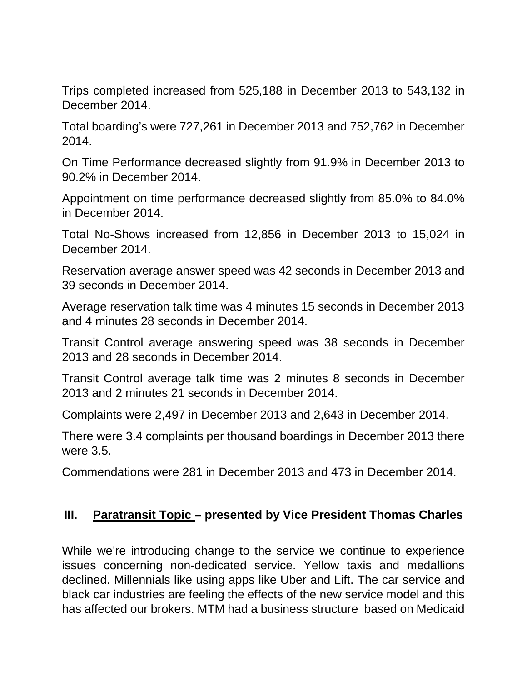Trips completed increased from 525,188 in December 2013 to 543,132 in December 2014.

Total boarding's were 727,261 in December 2013 and 752,762 in December 2014.

On Time Performance decreased slightly from 91.9% in December 2013 to 90.2% in December 2014.

Appointment on time performance decreased slightly from 85.0% to 84.0% in December 2014.

Total No-Shows increased from 12,856 in December 2013 to 15,024 in December 2014.

Reservation average answer speed was 42 seconds in December 2013 and 39 seconds in December 2014.

Average reservation talk time was 4 minutes 15 seconds in December 2013 and 4 minutes 28 seconds in December 2014.

Transit Control average answering speed was 38 seconds in December 2013 and 28 seconds in December 2014.

Transit Control average talk time was 2 minutes 8 seconds in December 2013 and 2 minutes 21 seconds in December 2014.

Complaints were 2,497 in December 2013 and 2,643 in December 2014.

There were 3.4 complaints per thousand boardings in December 2013 there were 3.5.

Commendations were 281 in December 2013 and 473 in December 2014.

### **III. Paratransit Topic – presented by Vice President Thomas Charles**

While we're introducing change to the service we continue to experience issues concerning non-dedicated service. Yellow taxis and medallions declined. Millennials like using apps like Uber and Lift. The car service and black car industries are feeling the effects of the new service model and this has affected our brokers. MTM had a business structure based on Medicaid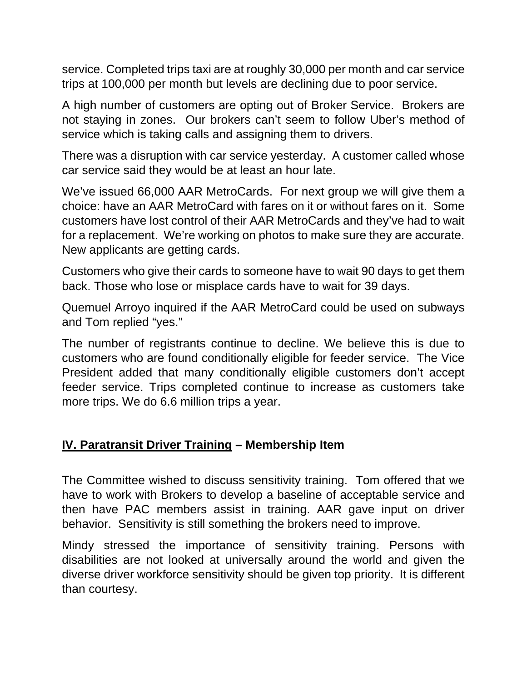service. Completed trips taxi are at roughly 30,000 per month and car service trips at 100,000 per month but levels are declining due to poor service.

A high number of customers are opting out of Broker Service. Brokers are not staying in zones. Our brokers can't seem to follow Uber's method of service which is taking calls and assigning them to drivers.

There was a disruption with car service yesterday. A customer called whose car service said they would be at least an hour late.

We've issued 66,000 AAR MetroCards. For next group we will give them a choice: have an AAR MetroCard with fares on it or without fares on it. Some customers have lost control of their AAR MetroCards and they've had to wait for a replacement. We're working on photos to make sure they are accurate. New applicants are getting cards.

Customers who give their cards to someone have to wait 90 days to get them back. Those who lose or misplace cards have to wait for 39 days.

Quemuel Arroyo inquired if the AAR MetroCard could be used on subways and Tom replied "yes."

The number of registrants continue to decline. We believe this is due to customers who are found conditionally eligible for feeder service. The Vice President added that many conditionally eligible customers don't accept feeder service. Trips completed continue to increase as customers take more trips. We do 6.6 million trips a year.

### **IV. Paratransit Driver Training – Membership Item**

The Committee wished to discuss sensitivity training. Tom offered that we have to work with Brokers to develop a baseline of acceptable service and then have PAC members assist in training. AAR gave input on driver behavior. Sensitivity is still something the brokers need to improve.

Mindy stressed the importance of sensitivity training. Persons with disabilities are not looked at universally around the world and given the diverse driver workforce sensitivity should be given top priority. It is different than courtesy.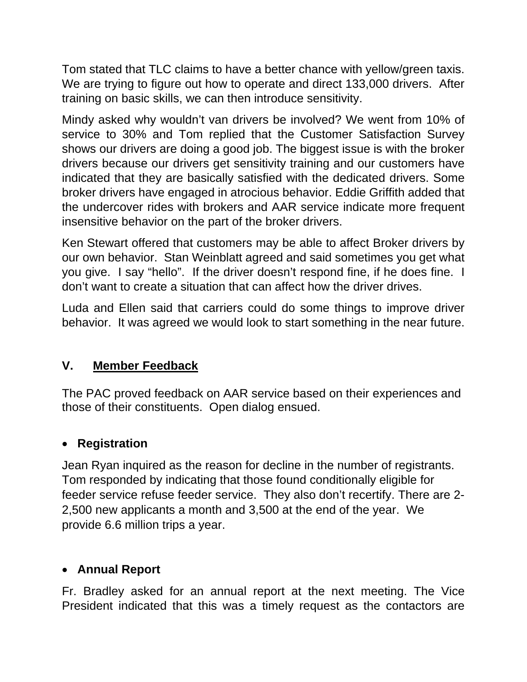Tom stated that TLC claims to have a better chance with yellow/green taxis. We are trying to figure out how to operate and direct 133,000 drivers. After training on basic skills, we can then introduce sensitivity.

Mindy asked why wouldn't van drivers be involved? We went from 10% of service to 30% and Tom replied that the Customer Satisfaction Survey shows our drivers are doing a good job. The biggest issue is with the broker drivers because our drivers get sensitivity training and our customers have indicated that they are basically satisfied with the dedicated drivers. Some broker drivers have engaged in atrocious behavior. Eddie Griffith added that the undercover rides with brokers and AAR service indicate more frequent insensitive behavior on the part of the broker drivers.

Ken Stewart offered that customers may be able to affect Broker drivers by our own behavior. Stan Weinblatt agreed and said sometimes you get what you give. I say "hello". If the driver doesn't respond fine, if he does fine. I don't want to create a situation that can affect how the driver drives.

Luda and Ellen said that carriers could do some things to improve driver behavior. It was agreed we would look to start something in the near future.

## **V. Member Feedback**

The PAC proved feedback on AAR service based on their experiences and those of their constituents. Open dialog ensued.

# **Registration**

Jean Ryan inquired as the reason for decline in the number of registrants. Tom responded by indicating that those found conditionally eligible for feeder service refuse feeder service. They also don't recertify. There are 2- 2,500 new applicants a month and 3,500 at the end of the year. We provide 6.6 million trips a year.

## **Annual Report**

Fr. Bradley asked for an annual report at the next meeting. The Vice President indicated that this was a timely request as the contactors are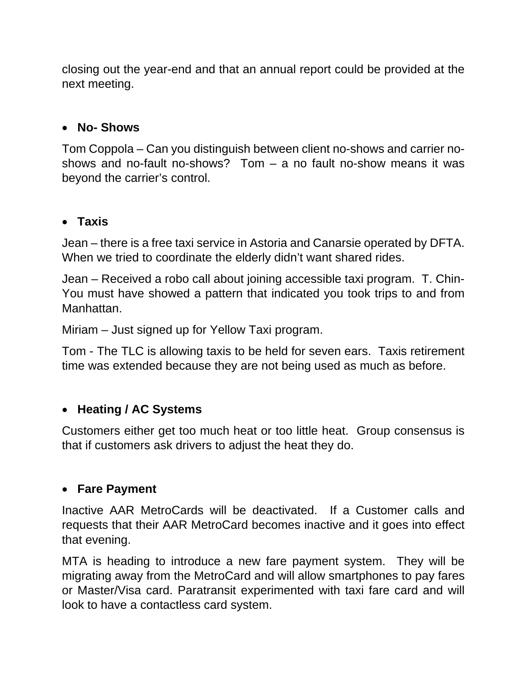closing out the year-end and that an annual report could be provided at the next meeting.

### **No- Shows**

Tom Coppola – Can you distinguish between client no-shows and carrier noshows and no-fault no-shows? Tom – a no fault no-show means it was beyond the carrier's control.

#### **Taxis**

Jean – there is a free taxi service in Astoria and Canarsie operated by DFTA. When we tried to coordinate the elderly didn't want shared rides.

Jean – Received a robo call about joining accessible taxi program. T. Chin-You must have showed a pattern that indicated you took trips to and from Manhattan.

Miriam – Just signed up for Yellow Taxi program.

Tom - The TLC is allowing taxis to be held for seven ears. Taxis retirement time was extended because they are not being used as much as before.

### **Heating / AC Systems**

Customers either get too much heat or too little heat. Group consensus is that if customers ask drivers to adjust the heat they do.

#### **Fare Payment**

Inactive AAR MetroCards will be deactivated. If a Customer calls and requests that their AAR MetroCard becomes inactive and it goes into effect that evening.

MTA is heading to introduce a new fare payment system. They will be migrating away from the MetroCard and will allow smartphones to pay fares or Master/Visa card. Paratransit experimented with taxi fare card and will look to have a contactless card system.